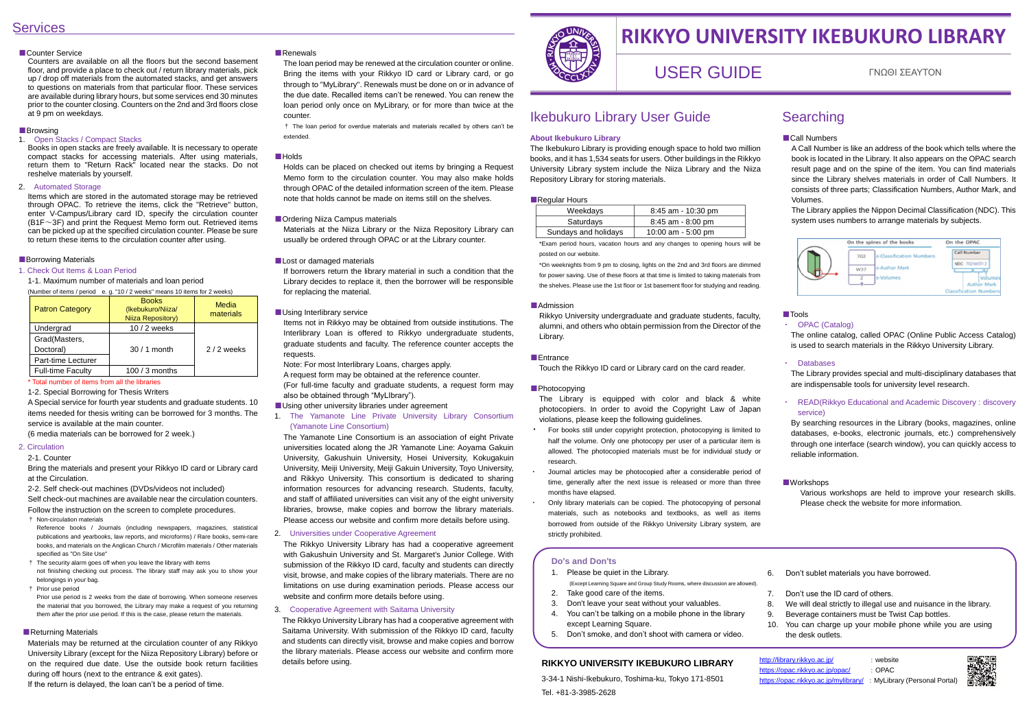# **Services**

#### ■Counter Service

Counters are available on all the floors but the second basement floor, and provide a place to check out / return library materials, pick up / drop off materials from the automated stacks, and get answers to questions on materials from that particular floor. These services are available during library hours, but some services end 30 minutes prior to the counter closing. Counters on the 2nd and 3rd floors close at 9 pm on weekdays.

#### ■Browsing

#### 1. Open Stacks / Compact Stacks

Books in open stacks are freely available. It is necessary to operate compact stacks for accessing materials. After using materials, return them to "Return Rack" located near the stacks. Do not reshelve materials by yourself.

#### 2. Automated Storage

Items which are stored in the automated storage may be retrieved through OPAC. To retrieve the items, click the "Retrieve" button, enter V-Campus/Library card ID, specify the circulation counter  $(B1F~3F)$  and print the Request Memo form out. Retrieved items can be picked up at the specified circulation counter. Please be sure to return these items to the circulation counter after using.

#### ■Borrowing Materials

#### 1. Check Out Items & Loan Period

1-1. Maximum number of materials and loan period

(Number of items / period e. g. "10 / 2 weeks" means 10 items for 2 weeks)

| <b>Patron Category</b>   | <b>Books</b><br>(Ikebukuro/Niiza/<br>Niiza Repository) | Media<br>materials |
|--------------------------|--------------------------------------------------------|--------------------|
| Undergrad                | 10 / 2 weeks                                           |                    |
| Grad(Masters,            |                                                        |                    |
| Doctoral)                | $30/1$ month                                           | $2/2$ weeks        |
| Part-time Lecturer       |                                                        |                    |
| <b>Full-time Faculty</b> | 100 / 3 months                                         |                    |

#### \* Total number of items from all the libraries

1-2. Special Borrowing for Thesis Writers

A Special service for fourth year students and graduate students. 10 items needed for thesis writing can be borrowed for 3 months. The service is available at the main counter.

(6 media materials can be borrowed for 2 week.)

#### 2. Circulation

2-1. Counter

Bring the materials and present your Rikkyo ID card or Library card at the Circulation.

2-2. Self check-out machines (DVDs/videos not included)

Self check-out machines are available near the circulation counters. Follow the instruction on the screen to complete procedures.

† Non-circulation materials

Reference books / Journals (including newspapers, magazines, statistical publications and yearbooks, law reports, and microforms) / Rare books, semi-rare books, and materials on the Anglican Church / Microfilm materials / Other materials specified as "On Site Use"

† The security alarm goes off when you leave the library with items not finishing checking out process. The library staff may ask you to show your

belongings in your bag. † Prior use period

Prior use period is 2 weeks from the date of borrowing. When someone reserves the material that you borrowed, the Library may make a request of you returning them after the prior use period. If this is the case, please return the materials.

#### ■ Returning Materials

Materials may be returned at the circulation counter of any Rikkyo University Library (except for the Niiza Repository Library) before or on the required due date. Use the outside book return facilities during off hours (next to the entrance & exit gates). If the return is delayed, the loan can't be a period of time.

#### ■Renewals

The loan period may be renewed at the circulation counter or online. Bring the items with your Rikkyo ID card or Library card, or go through to "MyLibrary". Renewals must be done on or in advance of the due date. Recalled items can't be renewed. You can renew the loan period only once on MyLibrary, or for more than twice at the counter.

† The loan period for overdue materials and materials recalled by others can't be extended.

#### ■Holds

Holds can be placed on checked out items by bringing a Request Memo form to the circulation counter. You may also make holds through OPAC of the detailed information screen of the item. Please note that holds cannot be made on items still on the shelves.

#### ■ Ordering Niiza Campus materials

Materials at the Niiza Library or the Niiza Repository Library can usually be ordered through OPAC or at the Library counter.

#### ■ Lost or damaged materials

If borrowers return the library material in such a condition that the Library decides to replace it, then the borrower will be responsible for replacing the material.

#### ■ Using Interlibrary service

Items not in Rikkyo may be obtained from outside institutions. The Interlibrary Loan is offered to Rikkyo undergraduate students, graduate students and faculty. The reference counter accepts the requests.

Note: For most Interlibrary Loans, charges apply.

A request form may be obtained at the reference counter. (For full-time faculty and graduate students, a request form may

also be obtained through "MyLIbrary").

### ■ Using other university libraries under agreement

#### 1. The Yamanote Line Private University Library Consortium (Yamanote Line Consortium)

The Yamanote Line Consortium is an association of eight Private universities located along the JR Yamanote Line: Aoyama Gakuin University, Gakushuin University, Hosei University, Kokugakuin University, Meiji University, Meiji Gakuin University, Toyo University, and Rikkyo University. This consortium is dedicated to sharing information resources for advancing research. Students, faculty, and staff of affiliated universities can visit any of the eight university libraries, browse, make copies and borrow the library materials. Please access our website and confirm more details before using.

#### 2. Universities under Cooperative Agreement

The Rikkyo University Library has had a cooperative agreement with Gakushuin University and St. Margaret's Junior College. With submission of the Rikkyo ID card, faculty and students can directly visit, browse, and make copies of the library materials. There are no limitations on use during examination periods. Please access our website and confirm more details before using.

#### 3. Cooperative Agreement with Saitama University

 The Rikkyo University Library has had a cooperative agreement with Saitama University. With submission of the Rikkyo ID card, faculty and students can directly visit, browse and make copies and borrow the library materials. Please access our website and confirm more details before using.



A Call Number is like an address of the book which tells where the book is located in the Library. It also appears on the OPAC search result page and on the spine of the item. You can find materials since the Library shelves materials in order of Call Numbers. It consists of three parts; Classification Numbers, Author Mark, and Volumes.

The Library applies the Nippon Decimal Classification (NDC). This system uses numbers to arrange materials by subjects.



#### ■Tools

#### ・ OPAC (Catalog)

The online catalog, called OPAC (Online Public Access Catalog) is used to search materials in the Rikkyo University Library.

#### ・ Databases

The Library provides special and multi-disciplinary databases that are indispensable tools for university level research.

#### ・ READ(Rikkyo Educational and Academic Discovery : discovery service)

By searching resources in the Library (books, magazines, online databases, e-books, electronic journals, etc.) comprehensively through one interface (search window), you can quickly access to reliable information.

#### ■Workshops

Various workshops are held to improve your research skills. Please check the website for more information.

# Ikebukuro Library User Guide

#### **About Ikebukuro Library**

The Ikebukuro Library is providing enough space to hold two million books, and it has 1,534 seats for users. Other buildings in the Rikkyo University Library system include the Niiza Library and the Niiza Repository Library for storing materials.

#### ■Regular Hours

| Weekdays             | $8:45$ am - 10:30 pm |
|----------------------|----------------------|
| Saturdays            | 8:45 am - 8:00 pm    |
| Sundays and holidays | 10:00 am $-5:00$ pm  |

\*Exam period hours, vacation hours and any changes to opening hours will be posted on our website.

\*On weeknights from 9 pm to closing, lights on the 2nd and 3rd floors are dimmed for power saving. Use of these floors at that time is limited to taking materials from the shelves. Please use the 1st floor or 1st basement floor for studying and reading.

#### ■Admission

Rikkyo University undergraduate and graduate students, faculty, alumni, and others who obtain permission from the Director of the Library.

#### ■Entrance

Touch the Rikkyo ID card or Library card on the card reader.

#### ■ Photocopying

The Library is equipped with color and black & white photocopiers. In order to avoid the Copyright Law of Japan violations, please keep the following guidelines.

- ・ For books still under copyright protection, photocopying is limited to half the volume. Only one photocopy per user of a particular item is allowed. The photocopied materials must be for individual study or research.
- Journal articles may be photocopied after a considerable period of time, generally after the next issue is released or more than three months have elapsed.
- Only library materials can be copied. The photocopying of personal materials, such as notebooks and textbooks, as well as items borrowed from outside of the Rikkyo University Library system, are strictly prohibited.

# **RIKKYO UNIVERSITY IKEBUKURO LIBRARY**

# USER GUIDE ΓΝΩΘΙ ΣΕΑΥΤΟΝ

#### **Do's and Don'ts**

- 1. Please be quiet in the Library. (Except Learning Square and Group Study Rooms, where discussion are allowed).
- 2. Take good care of the items.
- 3. Don't leave your seat without your valuables.
- 4. You can't be talking on a mobile phone in the library except Learning Square.
- 5. Don't smoke, and don't shoot with camera or video.

6. Don't sublet materials you have borrowed.

7. Don't use the ID card of others.

8. We will deal strictly to illegal use and nuisance in the library. 9. Beverage containers must be Twist Cap bottles.

10. You can charge up your mobile phone while you are using the desk outlets.

- 
- 
- <https://opac.rikkyo.ac.jp/mylibrary/> : MyLibrary (Personal Portal)



#### **RIKKYO UNIVERSITY IKEBUKURO LIBRARY**

3-34-1 Nishi-Ikebukuro, Toshima-ku, Tokyo 171-8501 Tel. +81-3-3985-2628

# **Searching**

#### ■Call Numbers